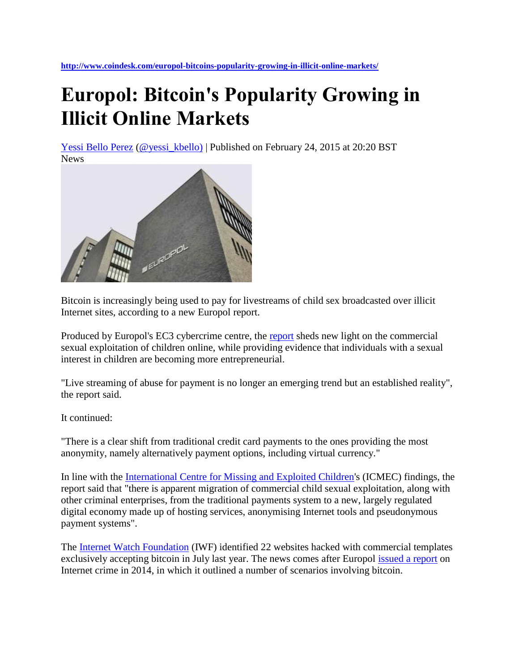**<http://www.coindesk.com/europol-bitcoins-popularity-growing-in-illicit-online-markets/>**

## **Europol: Bitcoin's Popularity Growing in Illicit Online Markets**

[Yessi Bello Perez](http://www.coindesk.com/author/yessicap/) [\(@yessi\\_kbello\)](http://www.twitter.com/yessi_kbello) | Published on February 24, 2015 at 20:20 BST **News** 



Bitcoin is increasingly being used to pay for livestreams of child sex broadcasted over illicit Internet sites, according to a new Europol report.

Produced by Europol's EC3 cybercrime centre, the [report](https://www.europol.europa.eu/content/live-streaming-child-sexual-abuse-established-harsh-reality) sheds new light on the commercial sexual exploitation of children online, while providing evidence that individuals with a sexual interest in children are becoming more entrepreneurial.

"Live streaming of abuse for payment is no longer an emerging trend but an established reality", the report said.

It continued:

"There is a clear shift from traditional credit card payments to the ones providing the most anonymity, namely alternatively payment options, including virtual currency."

In line with the [International Centre for Missing and Exploited Children'](http://www.icmec.org/missingkids/servlet/PublicHomeServlet)s (ICMEC) findings, the report said that "there is apparent migration of commercial child sexual exploitation, along with other criminal enterprises, from the traditional payments system to a new, largely regulated digital economy made up of hosting services, anonymising Internet tools and pseudonymous payment systems".

The [Internet Watch Foundation](https://www.iwf.org.uk/) (IWF) identified 22 websites hacked with commercial templates exclusively accepting bitcoin in July last year. The news comes after Europol [issued a report](http://www.coindesk.com/europol-report-connects-anonymous-digital-currencies-dark-net-crime/) on Internet crime in 2014, in which it outlined a number of scenarios involving bitcoin.